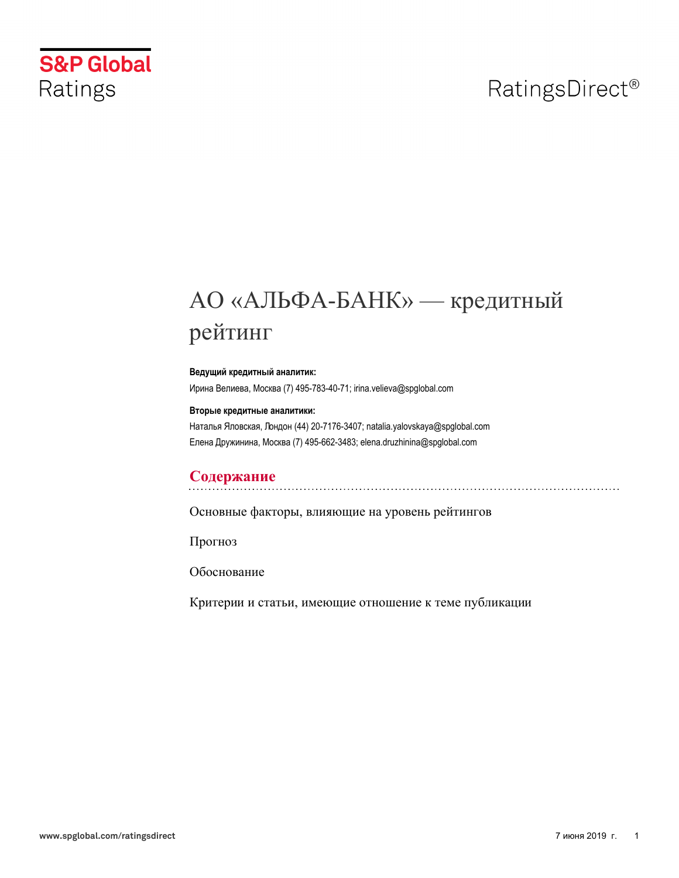# RatingsDirect<sup>®</sup>

# **S&P Global** Ratings

# АО «АЛЬФА-БАНК» — кредитный рейтинг

#### Ведущий кредитный аналитик:

Ирина Велиева, Москва (7) 495-783-40-71; irina.velieva@spglobal.com

#### Вторые кредитные аналитики:

Наталья Яловская, Лондон (44) 20-7176-3407; natalia.yalovskaya@spglobal.com Елена Дружинина, Москва (7) 495-662-3483; elena.druzhinina@spglobal.com

## Содержание

Основные факторы, влияющие на уровень рейтингов

Прогноз

Обоснование

Критерии и статьи, имеющие отношение к теме публикации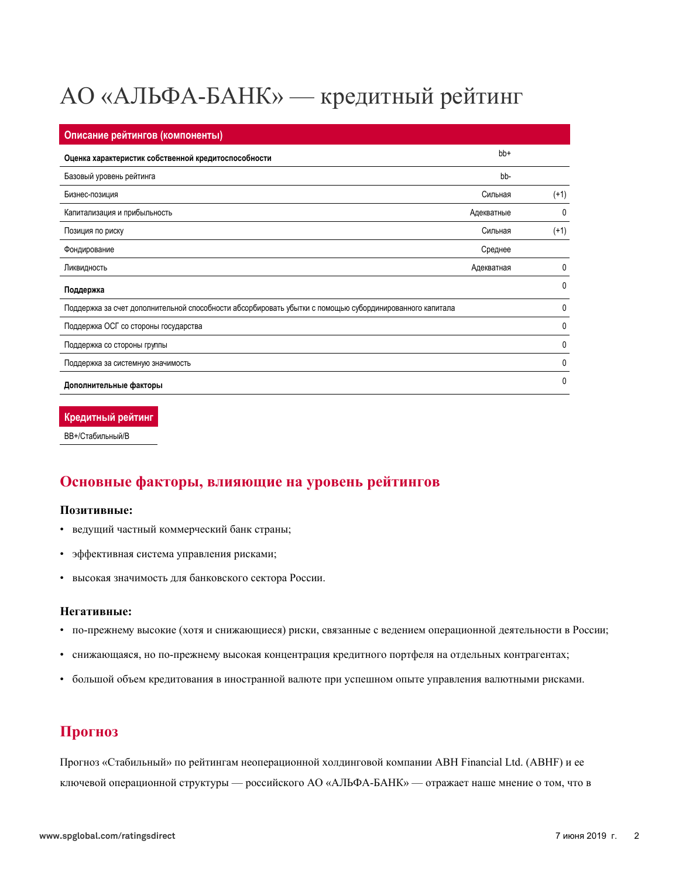# АО «АЛЬФА-БАНК» — кредитный рейтинг

| Описание рейтингов (компоненты)                                                                         |            |        |
|---------------------------------------------------------------------------------------------------------|------------|--------|
| Оценка характеристик собственной кредитоспособности                                                     | bb+        |        |
| Базовый уровень рейтинга                                                                                | bb-        |        |
| Бизнес-позиция                                                                                          | Сильная    | $(+1)$ |
| Капитализация и прибыльность                                                                            | Адекватные | 0      |
| Позиция по риску                                                                                        | Сильная    | $(+1)$ |
| Фондирование                                                                                            | Среднее    |        |
| Ликвидность                                                                                             | Адекватная | 0      |
| Поддержка                                                                                               |            | 0      |
| Поддержка за счет дополнительной способности абсорбировать убытки с помощью субординированного капитала |            | 0      |
| Поддержка ОСГ со стороны государства                                                                    |            | 0      |
| Поддержка со стороны группы                                                                             |            | 0      |
| Поддержка за системную значимость                                                                       |            | 0      |
| Дополнительные факторы                                                                                  |            | 0      |

Кредитный рейтинг

<span id="page-1-0"></span>ВВ+/Стабильный/В

## Основные факторы, влияющие на уровень рейтингов

#### Позитивные:

- ведущий частный коммерческий банк страны;
- эффективная система управления рисками;
- высокая значимость для банковского сектора России.

#### Hегативные:

- по-прежнему высокие (хотя и снижающиеся) риски, связанные с ведением операционной деятельности в России;
- пенижающаяся, но по-прежнему высокая концентрация кредитного портфеля на отдельных контрагентах;
- <span id="page-1-1"></span>• большой объем кредитования в иностранной валюте при успешном опыте управления валютными рисками.

## Прогноз

Прогноз «Стабильный» по рейтингам неоперационной холдинговой компании ABH Financial Ltd. (ABHF) и ее ключевой операционной структуры — российского АО «АЛЬФА-БАНК» — отражает наше мнение о том, что в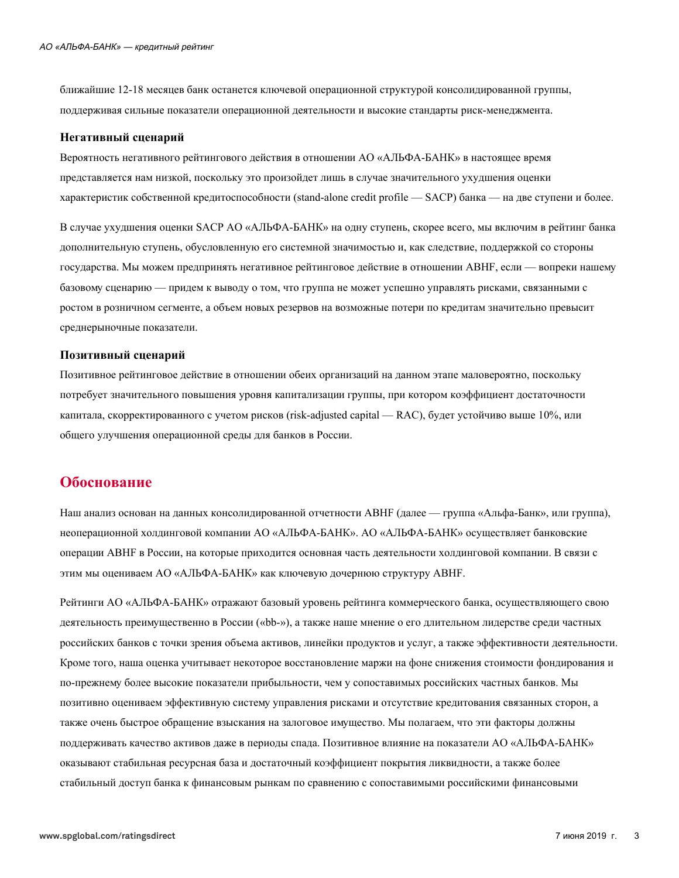ближайшие 12-18 месяцев банк останется ключевой операционной структурой консолидированной группы, поддерживая сильные показатели операционной деятельности и высокие стандарты риск-менеджмента.

#### Негативный сценарий

Вероятность негативного рейтингового действия в отношении АО «АЛЬФА-БАНК» в настоящее время представляется нам низкой, поскольку это произойдет лишь в случае значительного ухудшения оценки характеристик собственной кредитоспособности (stand-alone credit profile — SACP) банка — на две ступени и более.

В случае ухудшения оценки SACP AO «АЛЬФА-БАНК» на одну ступень, скорее всего, мы включим в рейтинг банка дополнительную ступень, обусловленную его системной значимостью и, как следствие, поддержкой со стороны государства. Мы можем предпринять негативное рейтинговое действие в отношении АВНF, если — вопреки нашему базовому сценарию — придем к выводу о том, что группа не может успешно управлять рисками, связанными с ростом в розничном сегменте, а объем новых резервов на возможные потери по кредитам значительно превысит среднерыночные показатели.

#### Позитивный сценарий

Позитивное рейтинговое действие в отношении обеих организаций на данном этапе маловероятно, поскольку потребует значительного повышения уровня капитализации группы, при котором коэффициент достаточности капитала, скорректированного с учетом рисков (risk-adjusted capital — RAC), будет устойчиво выше 10%, или общего улучшения операционной среды для банков в России.

## <span id="page-2-0"></span>Обоснование

Наш анализ основан на данных консолидированной отчетности АВНF (далее — группа «Альфа-Банк», или группа), неоперационной холдинговой компании АО «АЛЬФА-БАНК». АО «АЛЬФА-БАНК» осуществляет банковские операции АВНГ в России, на которые приходится основная часть деятельности холдинговой компании. В связи с этим мы оцениваем АО «АЛЬФА-БАНК» как ключевую дочернюю структуру АВНF.

Рейтинги АО «АЛЬФА-БАНК» отражают базовый уровень рейтинга коммерческого банка, осуществляющего свою деятельность преимущественно в России («bb-»), а также наше мнение о его длительном лидерстве среди частных российских банков с точки зрения объема активов, линейки продуктов и услуг, а также эффективности деятельности. Кроме того, наша оценка учитывает некоторое восстановление маржи на фоне снижения стоимости фондирования и по-прежнему более высокие показатели прибыльности, чем у сопоставимых российских частных банков. Мы позитивно оцениваем эффективную систему управления рисками и отсутствие кредитования связанных сторон, а также очень быстрое обращение взыскания на залоговое имущество. Мы полагаем, что эти факторы должны поддерживать качество активов даже в периоды спада. Позитивное влияние на показатели АО «АЛЬФА-БАНК» оказывают стабильная ресурсная база и достаточный коэффициент покрытия ликвидности, а также более стабильный доступ банка к финансовым рынкам по сравнению с сопоставимыми российскими финансовыми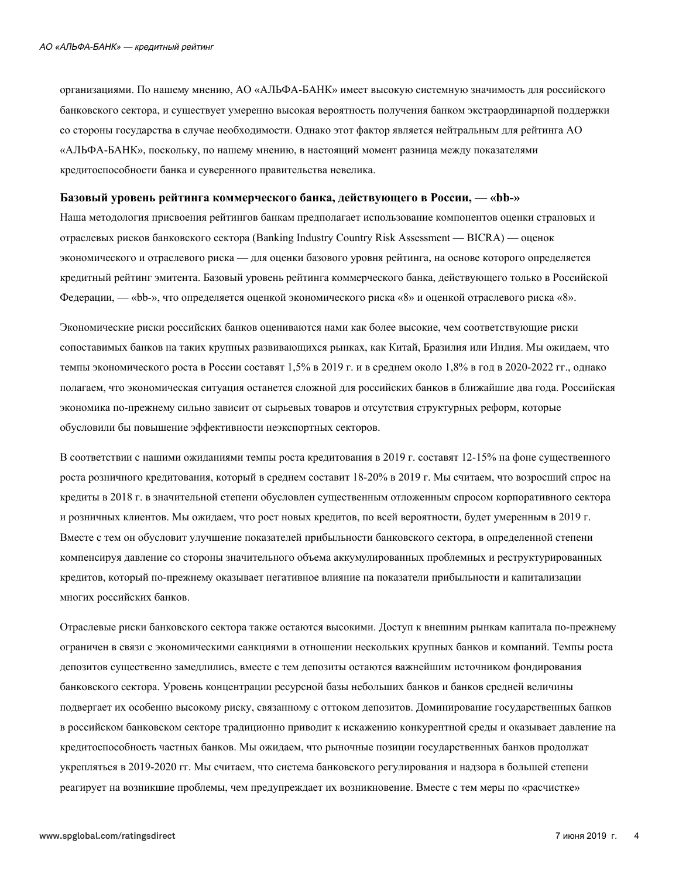организациями. По нашему мнению, АО «АЛЬФА-БАНК» имеет высокую системную значимость для российского банковского сектора, и существует умеренно высокая вероятность получения банком экстраординарной поддержки со стороны государства в случае необходимости. Однако этот фактор является нейтральным для рейтинга АО «АЛЬФА-БАНК», поскольку, по нашему мнению, в настоящий момент разница между показателями кредитоспособности банка и суверенного правительства невелика.

#### Базовый уровень рейтинга коммерческого банка, действующего в России, — «bb-»

Наша методология присвоения рейтингов банкам предполагает использование компонентов оценки страновых и отраслевых рисков банковского сектора (Banking Industry Country Risk Assessment — BICRA) — оценок экономического и отраслевого риска — для оценки базового уровня рейтинга, на основе которого определяется кредитный рейтинг эмитента. Базовый уровень рейтинга коммерческого банка, действующего только в Российской Федерации, — «bb-», что определяется оценкой экономического риска «8» и оценкой отраслевого риска «8».

Экономические риски российских банков оцениваются нами как более высокие, чем соответствующие риски сопоставимых банков на таких крупных развивающихся рынках, как Китай, Бразилия или Индия. Мы ожидаем, что темпы экономического роста в России составят 1.5% в 2019 г. и в среднем около 1.8% в год в 2020-2022 гг., однако полагаем, что экономическая ситуация останется сложной для российских банков в ближайшие два года. Российская экономика по-прежнему сильно зависит от сырьевых товаров и отсутствия структурных реформ, которые обусловили бы повышение эффективности неэкспортных секторов.

В соответствии с нашими ожиданиями темпы роста кредитования в 2019 г. составят 12-15% на фоне существенного роста розничного кредитования, который в среднем составит 18-20% в 2019 г. Мы считаем, что возросший спрос на кредиты в 2018 г. в значительной степени обусловлен существенным отложенным спросом корпоративного сектора и розничных клиентов. Мы ожидаем, что рост новых кредитов, по всей вероятности, будет умеренным в 2019 г. Вместе с тем он обусловит улучшение показателей прибыльности банковского сектора, в определенной степени компенсируя давление со стороны значительного объема аккумулированных проблемных и реструктурированных кредитов, который по-прежнему оказывает негативное влияние на показатели прибыльности и капитализации многих российских банков.

Отраслевые риски банковского сектора также остаются высокими. Доступ к внешним рынкам капитала по-прежнему ограничен в связи с экономическими санкциями в отношении нескольких крупных банков и компаний. Темпы роста депозитов существенно замедлились, вместе с тем депозиты остаются важнейшим источником фондирования банковского сектора. Уровень концентрации ресурсной базы небольших банков и банков средней величины подвергает их особенно высокому риску, связанному с оттоком депозитов. Доминирование государственных банков в российском банковском секторе традиционно приводит к искажению конкурентной среды и оказывает давление на кредитоспособность частных банков. Мы ожидаем, что рыночные позиции государственных банков продолжат укрепляться в 2019-2020 гг. Мы считаем, что система банковского регулирования и надзора в большей степени реагирует на возникшие проблемы, чем предупреждает их возникновение. Вместе с тем меры по «расчистке»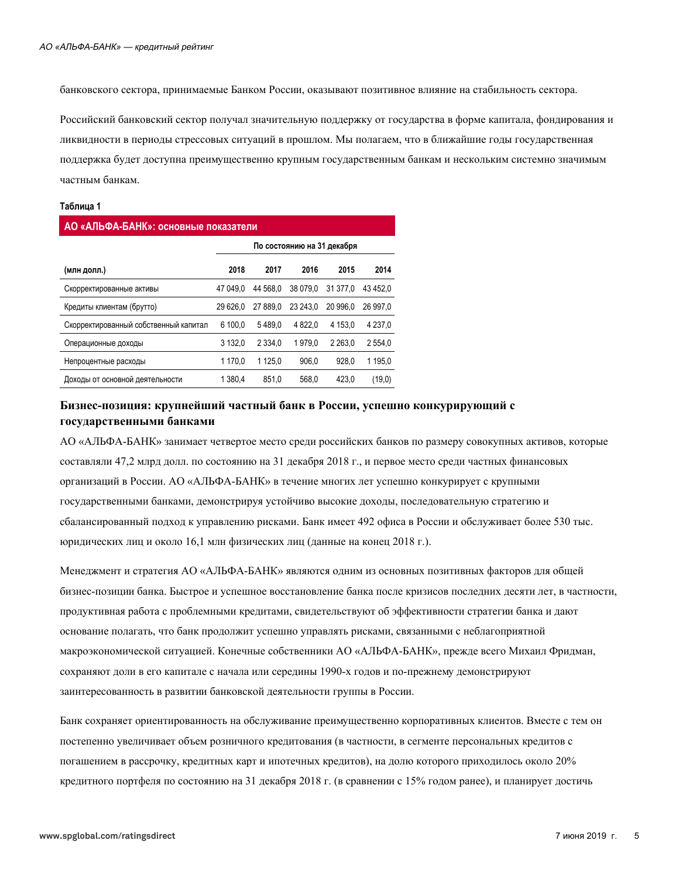банковского сектора, принимаемые Банком России, оказывают позитивное влияние на стабильность сектора.

Российский банковский сектор получал значительную поддержку от государства в форме капитала, фондирования и ликвидности в периоды стрессовых ситуаций в прошлом. Мы полагаем, что в ближайшие годы государственная поддержка будет доступна преимущественно крупным государственным банкам и нескольким системно значимым частным банкам.

#### Таблица 1

| АО «АЛЬФА-БАНК»: основные показатели  |                            |            |           |            |           |  |  |  |  |
|---------------------------------------|----------------------------|------------|-----------|------------|-----------|--|--|--|--|
|                                       | По состоянию на 31 декабря |            |           |            |           |  |  |  |  |
| (млн долл.)                           | 2018                       | 2017       | 2016      | 2015       | 2014      |  |  |  |  |
| Скорректированные активы              | 47 049.0                   | 44 568.0   | 38 079.0  | 31 377.0   | 43 452.0  |  |  |  |  |
| Кредиты клиентам (брутто)             | 29 626.0                   | 27 889.0   | 23 24 3.0 | 20 996.0   | 26 997.0  |  |  |  |  |
| Скорректированный собственный капитал | 6 100.0                    | 5489.0     | 4 8 2 2.0 | 4 1 5 3 .0 | 4 2 3 7 0 |  |  |  |  |
| Операционные доходы                   | 3 132.0                    | 2 3 3 4 .0 | 1979.0    | 2 2 6 3 .0 | 2554.0    |  |  |  |  |
| Непроцентные расходы                  | 1 170.0                    | 1 1 2 5 .0 | 906.0     | 928.0      | 1 195.0   |  |  |  |  |
| Доходы от основной деятельности       | 1 380.4                    | 851.0      | 568.0     | 423.0      | (19,0)    |  |  |  |  |

### Бизнес-позиция: крупнейший частный банк в России, успешно конкурирующий с государственными банками

АО «АЛЬФА-БАНК» занимает четвертое место среди российских банков по размеру совокупных активов, которые составляли 47,2 млрд долл. по состоянию на 31 декабря 2018 г., и первое место среди частных финансовых организаций в России. АО «АЛЬФА-БАНК» в течение многих лет успешно конкурирует с крупными государственными банками, демонстрируя устойчиво высокие доходы, последовательную стратегию и сбалансированный подход к управлению рисками. Банк имеет 492 офиса в России и обслуживает более 530 тыс. юридических лиц и около 16,1 млн физических лиц (данные на конец 2018 г.).

Менеджмент и стратегия АО «АЛЬФА-БАНК» являются одним из основных позитивных факторов для общей бизнес-позиции банка. Быстрое и успешное восстановление банка после кризисов последних десяти лет, в частности, продуктивная работа с проблемными кредитами, свидетельствуют об эффективности стратегии банка и дают основание полагать, что банк продолжит успешно управлять рисками, связанными с неблагоприятной макроэкономической ситуацией. Конечные собственники АО «АЛЬФА-БАНК», прежде всего Михаил Фридман, сохраняют доли в его капитале с начала или середины 1990-х годов и по-прежнему демонстрируют заинтересованность в развитии банковской деятельности группы в России.

Банк сохраняет ориентированность на обслуживание преимущественно корпоративных клиентов. Вместе с тем он постепенно увеличивает объем розничного кредитования (в частности, в сегменте персональных кредитов с погашением в рассрочку, кредитных карт и ипотечных кредитов), на долю которого приходилось около 20% кредитного портфеля по состоянию на 31 декабря 2018 г. (в сравнении с 15% годом ранее), и планирует достичь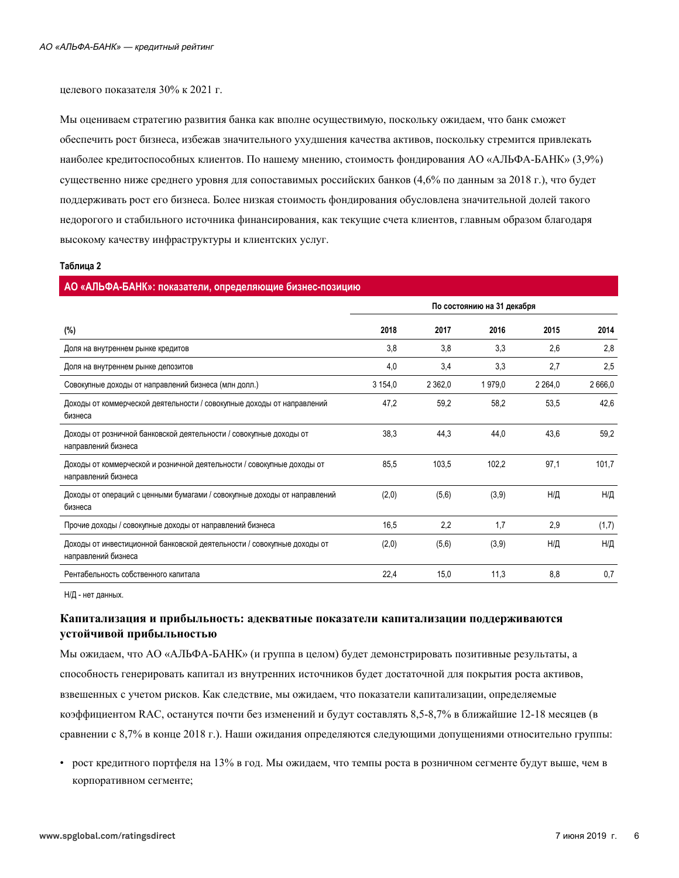целевого показателя 30% к 2021 г.

Мы оцениваем стратегию развития банка как вполне осуществимую, поскольку ожидаем, что банк сможет обеспечить рост бизнеса, избежав значительного ухудшения качества активов, поскольку стремится привлекать наиболее кредитоспособных клиентов. По нашему мнению, стоимость фондирования АО «АЛЬФА-БАНК» (3,9%) существенно ниже среднего уровня для сопоставимых российских банков (4,6% по данным за 2018 г.), что будет поддерживать рост его бизнеса. Более низкая стоимость фондирования обусловлена значительной долей такого недорогого и стабильного источника финансирования, как текущие счета клиентов, главным образом благодаря высокому качеству инфраструктуры и клиентских услуг.

#### Таблица 2

| АО «АЛЬФА-БАНК»: показатели, определяющие бизнес-позицию                                       |                            |           |        |           |        |
|------------------------------------------------------------------------------------------------|----------------------------|-----------|--------|-----------|--------|
|                                                                                                | По состоянию на 31 декабря |           |        |           |        |
| $(\%)$                                                                                         | 2018                       | 2017      | 2016   | 2015      | 2014   |
| Доля на внутреннем рынке кредитов                                                              | 3,8                        | 3,8       | 3,3    | 2,6       | 2,8    |
| Доля на внутреннем рынке депозитов                                                             | 4,0                        | 3,4       | 3,3    | 2,7       | 2,5    |
| Совокупные доходы от направлений бизнеса (млн долл.)                                           | 3 154,0                    | 2 3 6 2,0 | 1979,0 | 2 2 6 4 0 | 2666.0 |
| Доходы от коммерческой деятельности / совокупные доходы от направлений<br>бизнеса              | 47,2                       | 59,2      | 58,2   | 53,5      | 42,6   |
| Доходы от розничной банковской деятельности / совокупные доходы от<br>направлений бизнеса      | 38,3                       | 44,3      | 44.0   | 43,6      | 59,2   |
| Доходы от коммерческой и розничной деятельности / совокупные доходы от<br>направлений бизнеса  | 85,5                       | 103,5     | 102,2  | 97,1      | 101,7  |
| Доходы от операций с ценными бумагами / совокупные доходы от направлений<br>бизнеса            | (2,0)                      | (5,6)     | (3,9)  | Н/Д       | Н/Д    |
| Прочие доходы / совокупные доходы от направлений бизнеса                                       | 16,5                       | 2,2       | 1,7    | 2,9       | (1,7)  |
| Доходы от инвестиционной банковской деятельности / совокупные доходы от<br>направлений бизнеса | (2,0)                      | (5, 6)    | (3,9)  | Н/Д       | Н/Д    |
| Рентабельность собственного капитала                                                           | 22,4                       | 15,0      | 11,3   | 8,8       | 0,7    |

Н/Д - нет данных.

## Капитализация и прибыльность: адекватные показатели капитализации поддерживаются устойчивой прибыльностью

Мы ожидаем, что АО «АЛЬФА-БАНК» (и группа в целом) будет демонстрировать позитивные результаты, а способность генерировать капитал из внутренних источников будет достаточной для покрытия роста активов, взвешенных с учетом рисков. Как следствие, мы ожидаем, что показатели капитализации, определяемые коэффициентом RAC, останутся почти без изменений и будут составлять 8,5-8,7% в ближайшие 12-18 месяцев (в сравнении с 8.7% в конце 2018 г.). Наши ожидания определяются следующими допущениями относительно группы:

• рост кредитного портфеля на 13% в год. Мы ожидаем, что темпы роста в розничном сегменте будут выше, чем в корпоративном сегменте;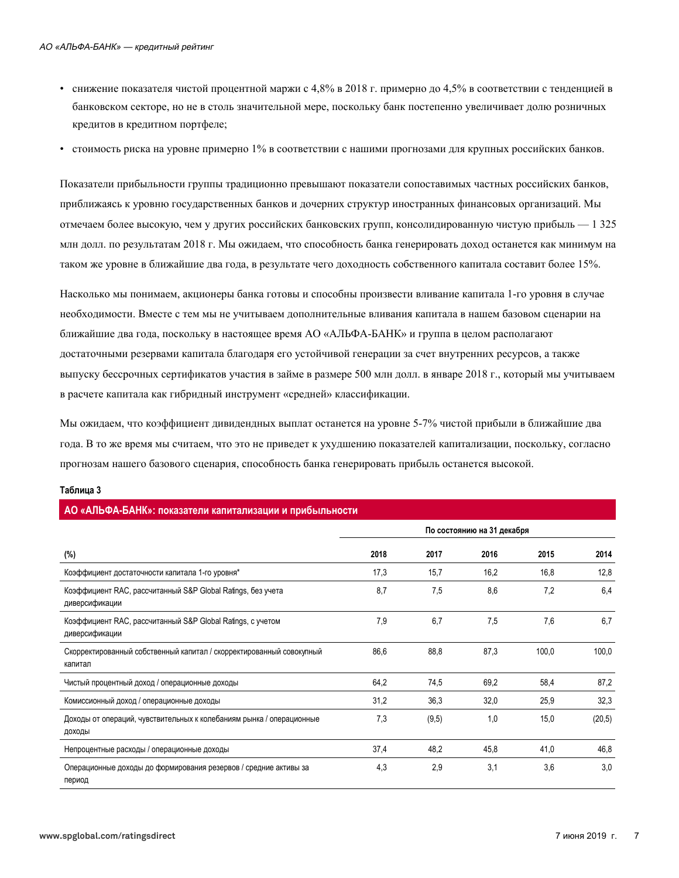- снижение показателя чистой процентной маржи с 4,8% в 2018 г. примерно до 4,5% в соответствии с тенденцией в банковском секторе, но не в столь значительной мере, поскольку банк постепенно увеличивает долю розничных кредитов в кредитном портфеле;
- стоимость риска на уровне примерно 1% в соответствии с нашими прогнозами для крупных российских банков.

Показатели прибыльности группы традиционно превышают показатели сопоставимых частных российских банков, приближаясь к уровню государственных банков и дочерних структур иностранных финансовых организаций. Мы отмечаем более высокую, чем у других российских банковских групп, консолидированную чистую прибыль - 1325 млн долл. по результатам 2018 г. Мы ожидаем, что способность банка генерировать доход останется как минимум на таком же уровне в ближайшие два года, в результате чего доходность собственного капитала составит более 15%.

Насколько мы понимаем, акционеры банка готовы и способны произвести вливание капитала 1-го уровня в случае необходимости. Вместе с тем мы не учитываем дополнительные вливания капитала в нашем базовом сценарии на ближайшие два года, поскольку в настоящее время АО «АЛЬФА-БАНК» и группа в целом располагают достаточными резервами капитала благодаря его устойчивой генерации за счет внутренних ресурсов, а также выпуску бессрочных сертификатов участия в займе в размере 500 млн долл. в январе 2018 г., который мы учитываем в расчете капитала как гибридный инструмент «средней» классификации.

Мы ожидаем, что коэффициент дивидендных выплат останется на уровне 5-7% чистой прибыли в ближайшие два года. В то же время мы считаем, что это не приведет к ухудшению показателей капитализации, поскольку, согласно прогнозам нашего базового сценария, способность банка генерировать прибыль останется высокой.

#### Таблица 3

|                                                                                 | По состоянию на 31 декабря |       |      |       |        |  |  |
|---------------------------------------------------------------------------------|----------------------------|-------|------|-------|--------|--|--|
| (%)                                                                             | 2018                       | 2017  | 2016 | 2015  | 2014   |  |  |
| Коэффициент достаточности капитала 1-го уровня*                                 | 17,3                       | 15,7  | 16,2 | 16,8  | 12,8   |  |  |
| Коэффициент RAC, рассчитанный S&P Global Ratings, без учета<br>диверсификации   | 8.7                        | 7,5   | 8,6  | 7,2   | 6,4    |  |  |
| Коэффициент RAC, рассчитанный S&P Global Ratings, с учетом<br>диверсификации    | 7,9                        | 6,7   | 7,5  | 7,6   | 6,7    |  |  |
| Скорректированный собственный капитал / скорректированный совокупный<br>капитал | 86,6                       | 88,8  | 87,3 | 100,0 | 100,0  |  |  |
| Чистый процентный доход / операционные доходы                                   | 64,2                       | 74,5  | 69,2 | 58,4  | 87,2   |  |  |
| Комиссионный доход / операционные доходы                                        | 31,2                       | 36,3  | 32,0 | 25,9  | 32,3   |  |  |
| Доходы от операций, чувствительных к колебаниям рынка / операционные<br>доходы  | 7,3                        | (9,5) | 1.0  | 15,0  | (20,5) |  |  |
| Непроцентные расходы / операционные доходы                                      | 37,4                       | 48,2  | 45,8 | 41,0  | 46,8   |  |  |
| Операционные доходы до формирования резервов / средние активы за<br>период      | 4,3                        | 2,9   | 3,1  | 3,6   | 3,0    |  |  |

#### АО «АПЬФА-БАНК»: показатели капитализации и прибыльности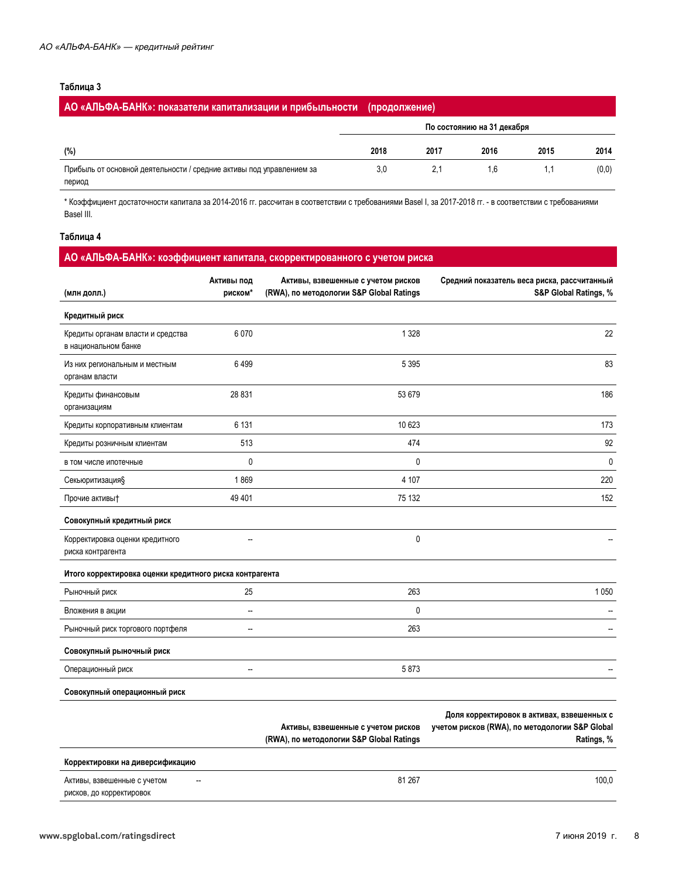#### Таблица 3

| АО «АЛЬФА-БАНК»: показатели капитализации и прибыльности (продолжение)         |      |      |                            |      |       |
|--------------------------------------------------------------------------------|------|------|----------------------------|------|-------|
|                                                                                |      |      | По состоянию на 31 декабря |      |       |
| (%)                                                                            | 2018 | 2017 | 2016                       | 2015 | 2014  |
| Прибыль от основной деятельности / средние активы под управлением за<br>период | 3.0  | 2.1  | 16                         |      | (0,0) |

\* Коэффициент достаточности капитала за 2014-2016 гг. рассчитан в соответствии с требованиями Basel I, за 2017-2018 гг. - в соответствии с требованиями Basel III.

#### Таблица 4

## АО «АЛЬФА-БАНК»: коэффициент капитала, скорректированного с учетом риска

| (млн долл.)                                               | Активы под<br>риском* | Активы, взвешенные с учетом рисков<br>(RWA), по методологии S&P Global Ratings | Средний показатель веса риска, рассчитанный<br>S&P Global Ratings, %                                       |
|-----------------------------------------------------------|-----------------------|--------------------------------------------------------------------------------|------------------------------------------------------------------------------------------------------------|
| Кредитный риск                                            |                       |                                                                                |                                                                                                            |
| Кредиты органам власти и средства<br>в национальном банке | 6070                  | 1 3 2 8                                                                        | 22                                                                                                         |
| Из них региональным и местным<br>органам власти           | 6499                  | 5 3 9 5                                                                        | 83                                                                                                         |
| Кредиты финансовым<br>организациям                        | 28 831                | 53 679                                                                         | 186                                                                                                        |
| Кредиты корпоративным клиентам                            | 6 1 3 1               | 10 623                                                                         | 173                                                                                                        |
| Кредиты розничным клиентам                                | 513                   | 474                                                                            | 92                                                                                                         |
| в том числе ипотечные                                     | $\mathbf 0$           | $\mathbf{0}$                                                                   | $\mathbf 0$                                                                                                |
| Секьюритизация§                                           | 1869                  | 4 107                                                                          | 220                                                                                                        |
| Прочие активы†                                            | 49 401                | 75 132                                                                         | 152                                                                                                        |
| Совокупный кредитный риск                                 |                       |                                                                                |                                                                                                            |
| Корректировка оценки кредитного<br>риска контрагента      | −−                    | 0                                                                              |                                                                                                            |
| Итого корректировка оценки кредитного риска контрагента   |                       |                                                                                |                                                                                                            |
| Рыночный риск                                             | 25                    | 263                                                                            | 1 0 5 0                                                                                                    |
| Вложения в акции                                          | --                    | 0                                                                              |                                                                                                            |
| Рыночный риск торгового портфеля                          | --                    | 263                                                                            |                                                                                                            |
| Совокупный рыночный риск                                  |                       |                                                                                |                                                                                                            |
| Операционный риск                                         | --                    | 5873                                                                           |                                                                                                            |
| Совокупный операционный риск                              |                       |                                                                                |                                                                                                            |
|                                                           |                       | Активы, взвешенные с учетом рисков<br>(RWA), по методологии S&P Global Ratings | Доля корректировок в активах, взвешенных с<br>учетом рисков (RWA), по методологии S&P Global<br>Ratings, % |
| Корректировки на диверсификацию                           |                       |                                                                                |                                                                                                            |
| Активы, взвешенные с учетом                               |                       | 81 267                                                                         | 100,0                                                                                                      |

рисков, до корректировок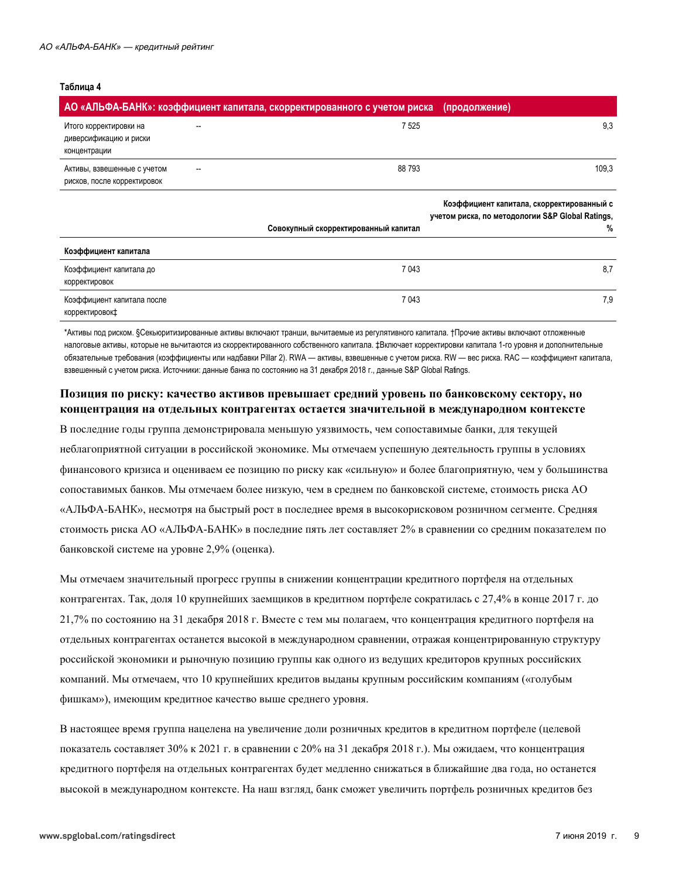#### Таблица 4

|                                                                  | АО «АЛЬФА-БАНК»: коэффициент капитала, скорректированного с учетом риска | (продолжение)                                                                                      |
|------------------------------------------------------------------|--------------------------------------------------------------------------|----------------------------------------------------------------------------------------------------|
| Итого корректировки на<br>диверсификацию и риски<br>концентрации | 7525                                                                     | 9,3                                                                                                |
| Активы, взвешенные с учетом<br>рисков, после корректировок       | 88793                                                                    | 109,3                                                                                              |
|                                                                  | Совокупный скорректированный капитал                                     | Коэффициент капитала, скорректированный с<br>учетом риска, по методологии S&P Global Ratings,<br>% |
| Коэффициент капитала                                             |                                                                          |                                                                                                    |
| Коэффициент капитала до<br>корректировок                         | 7 0 4 3                                                                  | 8,7                                                                                                |
| Коэффициент капитала после<br>корректировок‡                     | 7 0 4 3                                                                  | 7,9                                                                                                |

\*Активы под риском. §Секьюритизированные активы включают транши, вычитаемые из регулятивного капитала. †Прочие активы включают отложенные налоговые активы, которые не вычитаются из скорректированного собственного капитала. ‡Включает корректировки капитала 1-го уровня и дополнительные обязательные требования (коэффициенты или надбавки Pillar 2). RWA - активы, взвешенные с учетом риска. RW - вес риска. RAC - коэффициент капитала, взвешенный с учетом риска. Источники: данные банка по состоянию на 31 декабря 2018 г., данные S&P Global Ratings.

### Позиция по риску: качество активов превышает средний уровень по банковскому сектору, но концентрация на отдельных контрагентах остается значительной в международном контексте

В последние годы группа демонстрировала меньшую уязвимость, чем сопоставимые банки, для текущей неблагоприятной ситуации в российской экономике. Мы отмечаем успешную деятельность группы в условиях финансового кризиса и оцениваем ее позицию по риску как «сильную» и более благоприятную, чем у большинства сопоставимых банков. Мы отмечаем более низкую, чем в среднем по банковской системе, стоимость риска АО «АЛЬФА-БАНК», несмотря на быстрый рост в последнее время в высокорисковом розничном сегменте. Средняя стоимость риска АО «АЛЬФА-БАНК» в последние пять лет составляет 2% в сравнении со средним показателем по банковской системе на уровне 2,9% (оценка).

Мы отмечаем значительный прогресс группы в снижении концентрации кредитного портфеля на отдельных контрагентах. Так, доля 10 крупнейших заемщиков в кредитном портфеле сократилась с 27,4% в конце 2017 г. до 21,7% по состоянию на 31 декабря 2018 г. Вместе с тем мы полагаем, что концентрация кредитного портфеля на отдельных контрагентах останется высокой в международном сравнении, отражая концентрированную структуру российской экономики и рыночную позицию группы как одного из ведущих кредиторов крупных российских компаний. Мы отмечаем, что 10 крупнейших кредитов выданы крупным российским компаниям («голубым фишкам»), имеющим кредитное качество выше среднего уровня.

В настоящее время группа нацелена на увеличение доли розничных кредитов в кредитном портфеле (целевой показатель составляет 30% к 2021 г. в сравнении с 20% на 31 декабря 2018 г.). Мы ожидаем, что концентрация кредитного портфеля на отдельных контрагентах будет медленно снижаться в ближайшие два года, но останется высокой в международном контексте. На наш взгляд, банк сможет увеличить портфель розничных кредитов без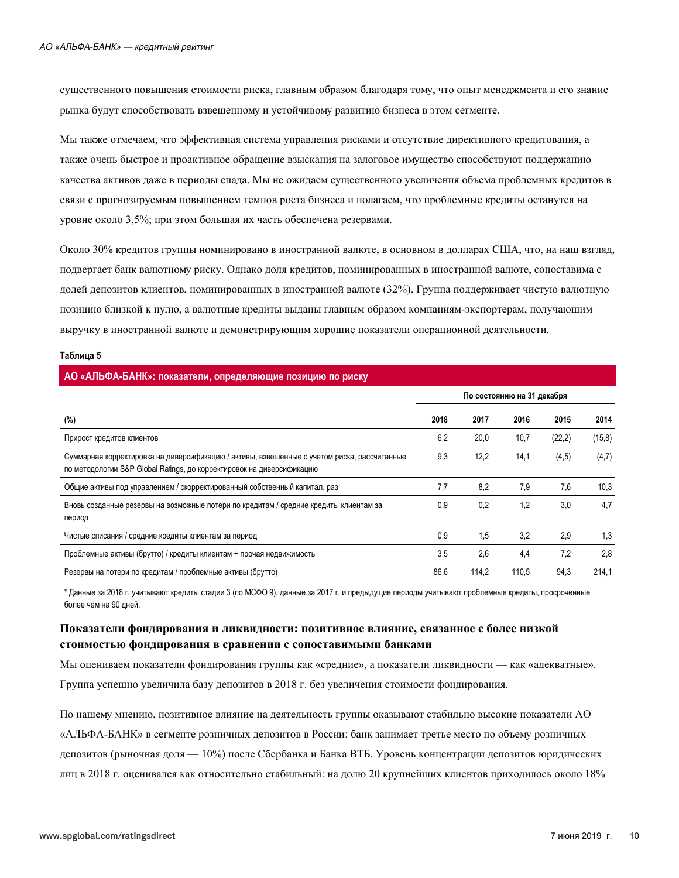существенного повышения стоимости риска, главным образом благодаря тому, что опыт менеджмента и его знание рынка будут способствовать взвешенному и устойчивому развитию бизнеса в этом сегменте.

Мы также отмечаем, что эффективная система управления рисками и отсутствие директивного кредитования, а также очень быстрое и проактивное обращение взыскания на залоговое имущество способствуют поддержанию качества активов даже в периоды спада. Мы не ожидаем существенного увеличения объема проблемных кредитов в связи с прогнозируемым повышением темпов роста бизнеса и полагаем, что проблемные кредиты останутся на уровне около 3,5%; при этом большая их часть обеспечена резервами.

Около 30% кредитов группы номинировано в иностранной валюте, в основном в долларах США, что, на наш взгляд, подвергает банк валютному риску. Однако доля кредитов, номинированных в иностранной валюте, сопоставима с долей депозитов клиентов, номинированных в иностранной валюте (32%). Группа поддерживает чистую валютную позицию близкой к нулю, а валютные кредиты выданы главным образом компаниям-экспортерам, получающим выручку в иностранной валюте и демонстрирующим хорошие показатели операционной деятельности.

#### Таблица 5

#### АО «АЛЬФА-БАНК»: показатели, определяющие позицию по риску

|                                                                                                                                                                      | По состоянию на 31 декабря |       |       |         |         |
|----------------------------------------------------------------------------------------------------------------------------------------------------------------------|----------------------------|-------|-------|---------|---------|
| (%)                                                                                                                                                                  | 2018                       | 2017  | 2016  | 2015    | 2014    |
| Прирост кредитов клиентов                                                                                                                                            | 6,2                        | 20,0  | 10,7  | (22, 2) | (15, 8) |
| Суммарная корректировка на диверсификацию / активы, взвешенные с учетом риска, рассчитанные<br>по методологии S&P Global Ratings, до корректировок на диверсификацию | 9,3                        | 12,2  | 14,1  | (4, 5)  | (4,7)   |
| Общие активы под управлением / скорректированный собственный капитал, раз                                                                                            | 7,7                        | 8,2   | 7,9   | 7,6     | 10,3    |
| Вновь созданные резервы на возможные потери по кредитам / средние кредиты клиентам за<br>период                                                                      | 0.9                        | 0.2   | 1,2   | 3,0     | 4,7     |
| Чистые списания / средние кредиты клиентам за период                                                                                                                 | 0,9                        | 1,5   | 3,2   | 2,9     | 1,3     |
| Проблемные активы (брутто) / кредиты клиентам + прочая недвижимость                                                                                                  | 3,5                        | 2,6   | 4,4   | 7,2     | 2,8     |
| Резервы на потери по кредитам / проблемные активы (брутто)                                                                                                           | 86,6                       | 114.2 | 110.5 | 94,3    | 214.1   |

\* Данные за 2018 г. учитывают кредиты стадии 3 (по МСФО 9), данные за 2017 г. и предыдущие периоды учитывают проблемные кредиты, просроченные более чем на 90 дней.

### Показатели фондирования и ликвидности: позитивное влияние, связанное с более низкой стоимостью фондирования в сравнении с сопоставимыми банками

Мы оцениваем показатели фондирования группы как «средние», а показатели ликвидности — как «адекватные».

Группа успешно увеличила базу депозитов в 2018 г. без увеличения стоимости фондирования.

По нашему мнению, позитивное влияние на деятельность группы оказывают стабильно высокие показатели АО «АЛЬФА-БАНК» в сегменте розничных депозитов в России: банк занимает третье место по объему розничных депозитов (рыночная доля — 10%) после Сбербанка и Банка ВТБ. Уровень концентрации депозитов юридических лиц в 2018 г. оценивался как относительно стабильный: на долю 20 крупнейших клиентов приходилось около 18%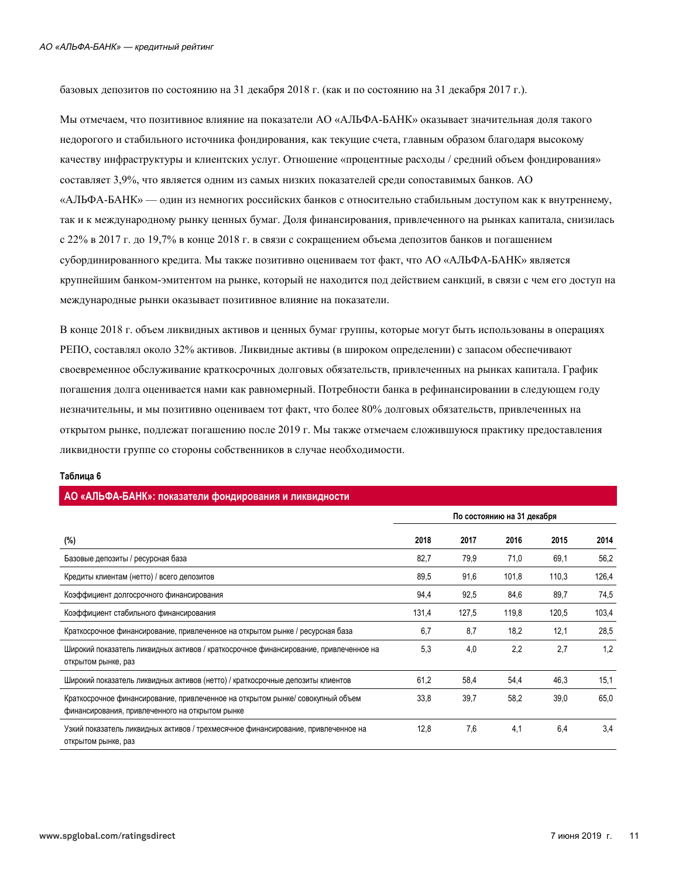базовых депозитов по состоянию на 31 декабря 2018 г. (как и по состоянию на 31 декабря 2017 г.).

Мы отмечаем, что позитивное влияние на показатели АО «АЛЬФА-БАНК» оказывает значительная доля такого недорогого и стабильного источника фондирования, как текущие счета, главным образом благодаря высокому качеству инфраструктуры и клиентских услуг. Отношение «процентные расходы / средний объем фондирования» составляет 3,9%, что является одним из самых низких показателей среди сопоставимых банков. АО «АЛЬФА-БАНК» — один из немногих российских банков с относительно стабильным доступом как к внутреннему, так и к международному рынку ценных бумаг. Доля финансирования, привлеченного на рынках капитала, снизилась с 22% в 2017 г. до 19,7% в конце 2018 г. в связи с сокращением объема депозитов банков и погашением субординированного кредита. Мы также позитивно оцениваем тот факт, что АО «АЛЬФА-БАНК» является крупнейшим банком-эмитентом на рынке, который не находится под действием санкций, в связи с чем его доступ на международные рынки оказывает позитивное влияние на показатели.

В конце 2018 г. объем ликвидных активов и ценных бумаг группы, которые могут быть использованы в операциях РЕПО, составлял около 32% активов. Ликвидные активы (в широком определении) с запасом обеспечивают своевременное обслуживание краткосрочных долговых обязательств, привлеченных на рынках капитала. График погашения долга оценивается нами как равномерный. Потребности банка в рефинансировании в следующем году незначительны, и мы позитивно оцениваем тот факт, что более 80% долговых обязательств, привлеченных на открытом рынке, подлежат погашению после 2019 г. Мы также отмечаем сложившуюся практику предоставления ликвидности группе со стороны собственников в случае необходимости.

| AO «АЛЬФА-БАНК»: показатели фондирования и ликвидности                                                                            |                            |       |       |       |       |
|-----------------------------------------------------------------------------------------------------------------------------------|----------------------------|-------|-------|-------|-------|
|                                                                                                                                   | По состоянию на 31 декабря |       |       |       |       |
| (%)                                                                                                                               | 2018                       | 2017  | 2016  | 2015  | 2014  |
| Базовые депозиты / ресурсная база                                                                                                 | 82,7                       | 79,9  | 71,0  | 69,1  | 56,2  |
| Кредиты клиентам (нетто) / всего депозитов                                                                                        | 89,5                       | 91,6  | 101,8 | 110,3 | 126,4 |
| Коэффициент долгосрочного финансирования                                                                                          | 94,4                       | 92,5  | 84,6  | 89,7  | 74,5  |
| Коэффициент стабильного финансирования                                                                                            | 131,4                      | 127,5 | 119,8 | 120,5 | 103,4 |
| Краткосрочное финансирование, привлеченное на открытом рынке / ресурсная база                                                     | 6,7                        | 8,7   | 18,2  | 12,1  | 28,5  |
| Широкий показатель ликвидных активов / краткосрочное финансирование, привлеченное на<br>открытом рынке, раз                       | 5,3                        | 4,0   | 2,2   | 2,7   | 1,2   |
| Широкий показатель ликвидных активов (нетто) / краткосрочные депозиты клиентов                                                    | 61,2                       | 58,4  | 54,4  | 46,3  | 15,1  |
| Краткосрочное финансирование, привлеченное на открытом рынке/ совокупный объем<br>финансирования, привлеченного на открытом рынке | 33,8                       | 39,7  | 58,2  | 39,0  | 65,0  |
| Узкий показатель ликвидных активов / трехмесячное финансирование, привлеченное на<br>открытом рынке, раз                          | 12,8                       | 7,6   | 4,1   | 6,4   | 3,4   |

#### Таблица 6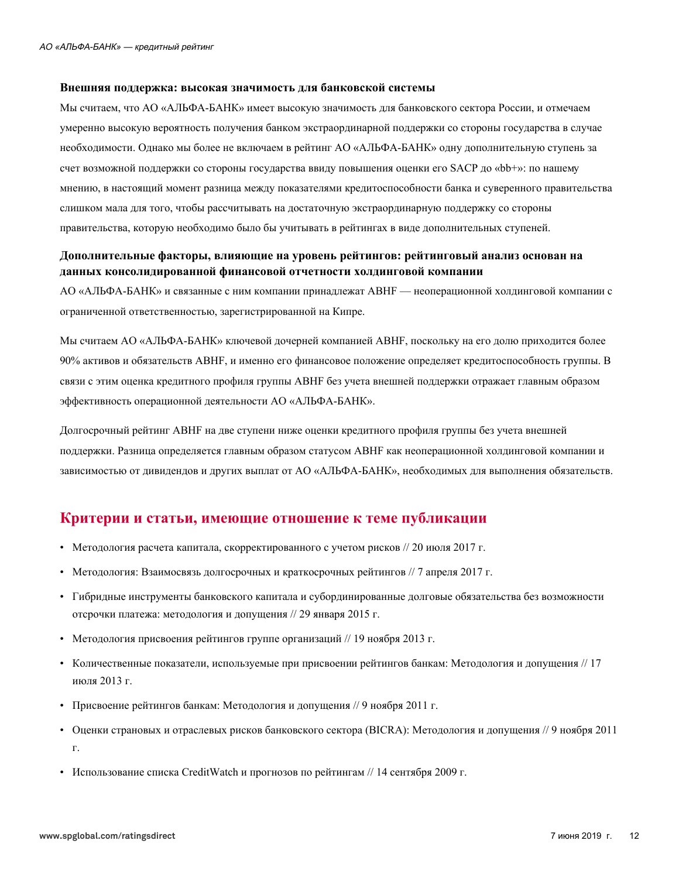#### Внешняя поддержка: высокая значимость для банковской системы

Мы считаем, что АО «АЛЬФА-БАНК» имеет высокую значимость для банковского сектора России, и отмечаем умеренно высокую вероятность получения банком экстраординарной поддержки со стороны государства в случае необходимости. Однако мы более не включаем в рейтинг АО «АЛЬФА-БАНК» одну дополнительную ступень за счет возможной поддержки со стороны государства ввиду повышения оценки его SACP до «bb+»: по нашему мнению, в настоящий момент разница между показателями кредитоспособности банка и суверенного правительства слишком мала для того, чтобы рассчитывать на достаточную экстраординарную поддержку со стороны правительства, которую необходимо было бы учитывать в рейтингах в виде дополнительных ступеней.

## Дополнительные факторы, влияющие на уровень рейтингов: рейтинговый анализ основан на данных консолидированной финансовой отчетности холдинговой компании

АО «АЛЬФА-БАНК» и связанные с ним компании принадлежат АВНF — неоперационной холдинговой компании с ограниченной ответственностью, зарегистрированной на Кипре.

Мы считаем АО «АЛЬФА-БАНК» ключевой дочерней компанией АВНF, поскольку на его долю приходится более 90% активов и обязательств АВНF, и именно его финансовое положение определяет кредитоспособность группы. В связи с этим оценка кредитного профиля группы АВНГ без учета внешней поддержки отражает главным образом эффективность операционной деятельности АО «АЛЬФА-БАНК».

Долгосрочный рейтинг АВНГ на две ступени ниже оценки кредитного профиля группы без учета внешней поддержки. Разница определяется главным образом статусом АВНF как неоперационной холдинговой компании и зависимостью от дивидендов и других выплат от АО «АЛЬФА-БАНК», необходимых для выполнения обязательств.

## <span id="page-11-0"></span>Критерии и статьи, имеющие отношение к теме публикации

- Методология расчета капитала, скорректированного с учетом рисков // 20 июля 2017 г.
- Методология: Взаимосвязь долгосрочных и краткосрочных рейтингов // 7 апреля 2017 г.
- Гибридные инструменты банковского капитала и субординированные долговые обязательства без возможности отсрочки платежа: методология и допущения // 29 января 2015 г.
- Методология присвоения рейтингов группе организаций // 19 ноября 2013 г.
- Количественные показатели, используемые при присвоении рейтингов банкам: Методология и допущения // 17 июля 2013 г.
- Присвоение рейтингов банкам: Методология и допущения // 9 ноября 2011 г.
- Оценки страновых и отраслевых рисков банковского сектора (BICRA): Методология и допущения // 9 ноября 2011  $\Gamma.$
- Использование списка CreditWatch и прогнозов по рейтингам // 14 сентября 2009 г.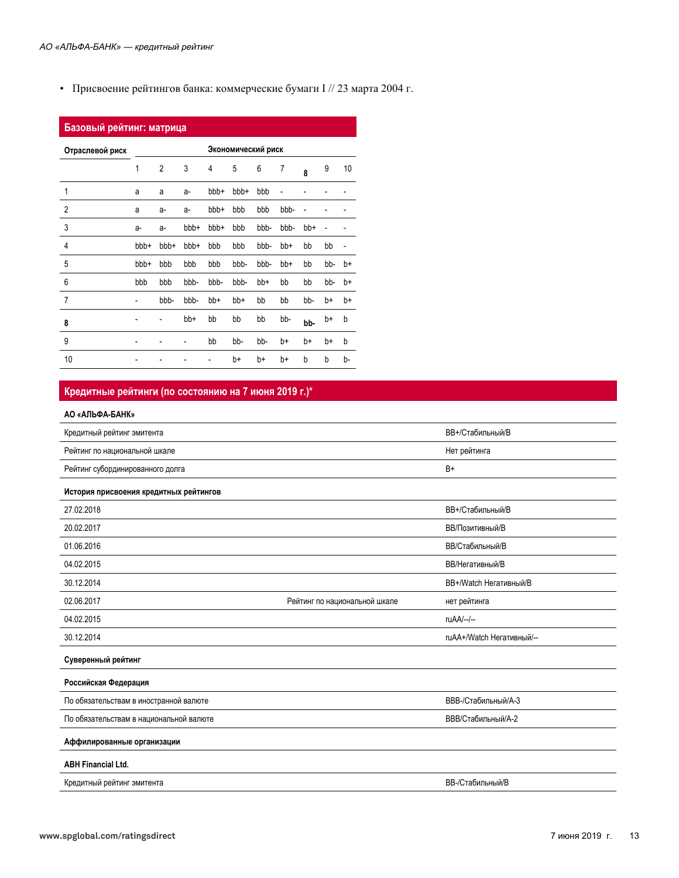• Присвоение рейтингов банка: коммерческие бумаги I // 23 марта 2004 г.

| Базовый рейтинг: матрица |                          |                |      |      |                    |      |      |     |     |    |
|--------------------------|--------------------------|----------------|------|------|--------------------|------|------|-----|-----|----|
| Отраслевой риск          |                          |                |      |      | Экономический риск |      |      |     |     |    |
|                          | 1                        | $\overline{2}$ | 3    | 4    | 5                  | 6    | 7    | 8   | 9   | 10 |
| 1                        | a                        | a              | a-   | bbb+ | bbb+               | bbb  |      |     |     |    |
| 2                        | a                        | a-             | a-   | bbb+ | bbb                | bbb  | bbb- |     |     |    |
| 3                        | a-                       | a-             | bbb+ | bbb+ | bbb                | bbb- | bbb- | bb+ |     |    |
| $\overline{4}$           | bbb+                     | bbb+           | bbb+ | bbb  | bbb                | bbb- | bb+  | bb  | bb  | -  |
| 5                        | bbb+                     | bbb            | bbb  | bbb  | bbb-               | bbb- | bb+  | bb  | bb- | b+ |
| 6                        | bbb                      | bbb            | bbb- | bbb- | bbb-               | bb+  | bb   | bb  | bb- | b+ |
| $\overline{7}$           | $\overline{\phantom{0}}$ | bbb-           | bbb- | bb+  | bb+                | bb   | bb   | bb- | b+  | b+ |
| 8                        |                          |                | bb+  | bb   | bb                 | bb   | bb-  | bb- | b+  | b  |
| 9                        |                          |                |      | bb   | bb-                | bb-  | b+   | b+  | b+  | b  |
| 10                       |                          |                |      |      | b+                 | b+   | b+   | b   | b   | b- |

#### Кредитные рейтинги (по состоянию на 7 июня 2019 г.)\*

#### АО «АЛЬФА-БАНК»

| Кредитный рейтинг эмитента              |                               | ВВ+/Стабильный/В          |
|-----------------------------------------|-------------------------------|---------------------------|
| Рейтинг по национальной шкале           |                               | Нет рейтинга              |
| Рейтинг субординированного долга        |                               | B+                        |
| История присвоения кредитных рейтингов  |                               |                           |
| 27.02.2018                              |                               | ВВ+/Стабильный/В          |
| 20.02.2017                              |                               | ВВ/Позитивный/В           |
| 01.06.2016                              |                               | <b>ВВ/Стабильный/В</b>    |
| 04.02.2015                              |                               | <b>ВВ/Негативный/В</b>    |
| 30.12.2014                              |                               | BB+/Watch Негативный/В    |
| 02.06.2017                              | Рейтинг по национальной шкале | нет рейтинга              |
| 04.02.2015                              |                               | ruAA/--/--                |
| 30.12.2014                              |                               | ruAA+/Watch Негативный/-- |
| Суверенный рейтинг                      |                               |                           |
| Российская Федерация                    |                               |                           |
| По обязательствам в иностранной валюте  |                               | ВВВ-/Стабильный/А-3       |
| По обязательствам в национальной валюте |                               | ВВВ/Стабильный/А-2        |
| Аффилированные организации              |                               |                           |
| <b>ABH Financial Ltd.</b>               |                               |                           |
| Кредитный рейтинг эмитента              |                               | <b>ВВ-/Стабильный/В</b>   |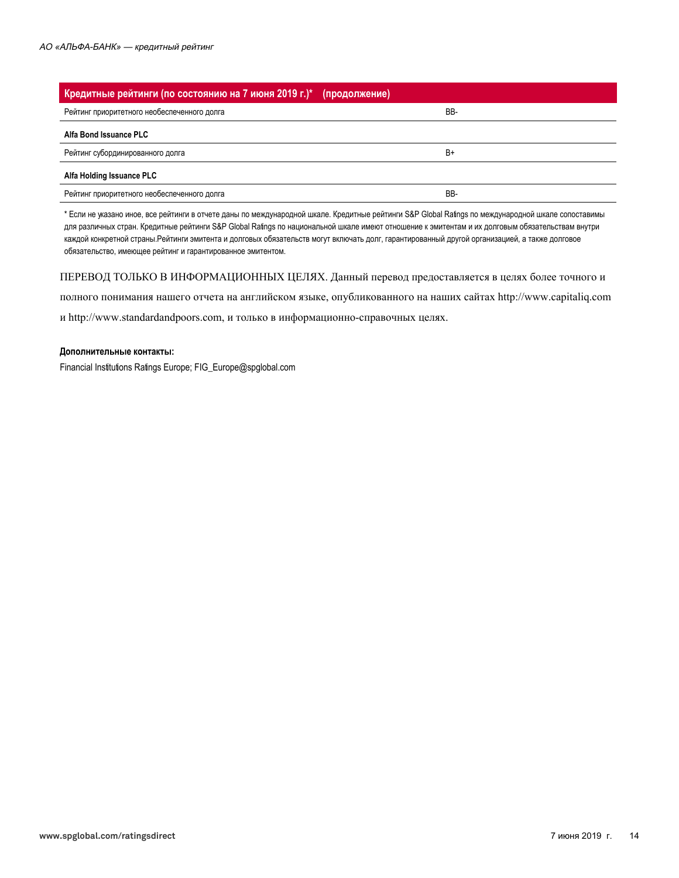| Кредитные рейтинги (по состоянию на 7 июня 2019 г.)* (продолжение) |     |
|--------------------------------------------------------------------|-----|
| Рейтинг приоритетного необеспеченного долга                        | BB- |
| Alfa Bond Issuance PLC                                             |     |
| Рейтинг субординированного долга                                   | B+  |
| Alfa Holding Issuance PLC                                          |     |
| Рейтинг приоритетного необеспеченного долга                        | BB- |

\* Если не указано иное, все рейтинги в отчете даны по международной шкале. Кредитные рейтинги S&P Global Ratings по международной шкале сопоставимы для различных стран. Кредитные рейтинги S&P Global Ratings по национальной шкале имеют отношение к эмитентам и их долговым обязательствам внутри каждой конкретной страны.Рейтинги эмитента и долговых обязательств могут включать долг, гарантированный другой организацией, а также долговое обязательство, имеющее рейтинг и гарантированное эмитентом.

ПЕРЕВОД ТОЛЬКО В ИНФОРМАЦИОННЫХ ЦЕЛЯХ. Данный перевод предоставляется в целях более точного и

полного понимания нашего отчета на английском языке, опубликованного на наших сайтах http://www.capitaliq.com и http://www.standardandpoors.com, и только в информационно-справочных целях.

#### Дополнительные контакты:

Financial Institutions Ratings Europe; FIG\_Europe@spglobal.com